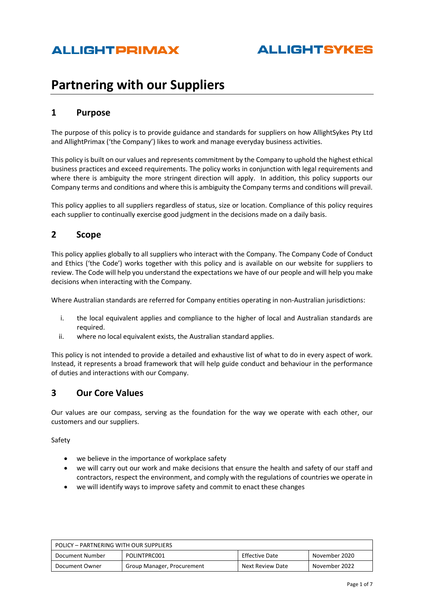# **Partnering with our Suppliers**

### **1 Purpose**

The purpose of this policy is to provide guidance and standards for suppliers on how AllightSykes Pty Ltd and AllightPrimax ('the Company') likes to work and manage everyday business activities.

This policy is built on our values and represents commitment by the Company to uphold the highest ethical business practices and exceed requirements. The policy works in conjunction with legal requirements and where there is ambiguity the more stringent direction will apply. In addition, this policy supports our Company terms and conditions and where this is ambiguity the Company terms and conditions will prevail.

This policy applies to all suppliers regardless of status, size or location. Compliance of this policy requires each supplier to continually exercise good judgment in the decisions made on a daily basis.

### **2 Scope**

This policy applies globally to all suppliers who interact with the Company. The Company Code of Conduct and Ethics ('the Code') works together with this policy and is available on our website for suppliers to review. The Code will help you understand the expectations we have of our people and will help you make decisions when interacting with the Company.

Where Australian standards are referred for Company entities operating in non-Australian jurisdictions:

- i. the local equivalent applies and compliance to the higher of local and Australian standards are required.
- ii. where no local equivalent exists, the Australian standard applies.

This policy is not intended to provide a detailed and exhaustive list of what to do in every aspect of work. Instead, it represents a broad framework that will help guide conduct and behaviour in the performance of duties and interactions with our Company.

### **3 Our Core Values**

Our values are our compass, serving as the foundation for the way we operate with each other, our customers and our suppliers.

Safety

- we believe in the importance of workplace safety
- we will carry out our work and make decisions that ensure the health and safety of our staff and contractors, respect the environment, and comply with the regulations of countries we operate in
- we will identify ways to improve safety and commit to enact these changes

| POLICY - PARTNERING WITH OUR SUPPLIERS                                    |  |               |  |  |
|---------------------------------------------------------------------------|--|---------------|--|--|
| POLINTPRC001<br><b>Effective Date</b><br>Document Number<br>November 2020 |  |               |  |  |
| Next Review Date<br>Group Manager, Procurement<br>Document Owner          |  | November 2022 |  |  |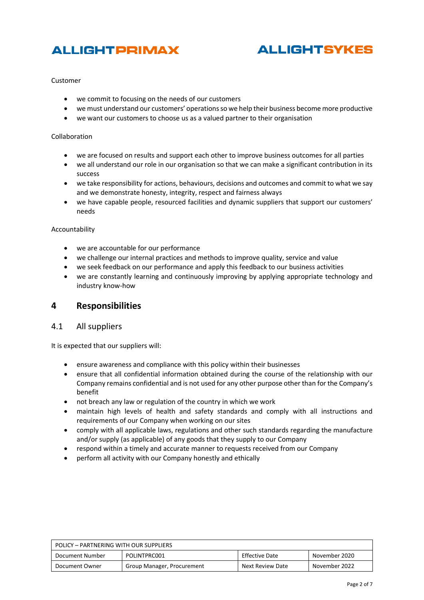# **ALLIGHTSYKES**

#### Customer

- we commit to focusing on the needs of our customers
- we must understand our customers' operations so we help their business become more productive
- we want our customers to choose us as a valued partner to their organisation

#### Collaboration

- we are focused on results and support each other to improve business outcomes for all parties
- we all understand our role in our organisation so that we can make a significant contribution in its success
- we take responsibility for actions, behaviours, decisions and outcomes and commit to what we say and we demonstrate honesty, integrity, respect and fairness always
- we have capable people, resourced facilities and dynamic suppliers that support our customers' needs

#### Accountability

- we are accountable for our performance
- we challenge our internal practices and methods to improve quality, service and value
- we seek feedback on our performance and apply this feedback to our business activities
- we are constantly learning and continuously improving by applying appropriate technology and industry know-how

#### **4 Responsibilities**

#### 4.1 All suppliers

It is expected that our suppliers will:

- ensure awareness and compliance with this policy within their businesses
- ensure that all confidential information obtained during the course of the relationship with our Company remains confidential and is not used for any other purpose other than for the Company's benefit
- not breach any law or regulation of the country in which we work
- maintain high levels of health and safety standards and comply with all instructions and requirements of our Company when working on our sites
- comply with all applicable laws, regulations and other such standards regarding the manufacture and/or supply (as applicable) of any goods that they supply to our Company
- respond within a timely and accurate manner to requests received from our Company
- perform all activity with our Company honestly and ethically

| POLICY - PARTNERING WITH OUR SUPPLIERS                             |                            |                  |               |  |
|--------------------------------------------------------------------|----------------------------|------------------|---------------|--|
| POLINTPRC001<br>Effective Date<br>Document Number<br>November 2020 |                            |                  |               |  |
| Document Owner                                                     | Group Manager, Procurement | Next Review Date | November 2022 |  |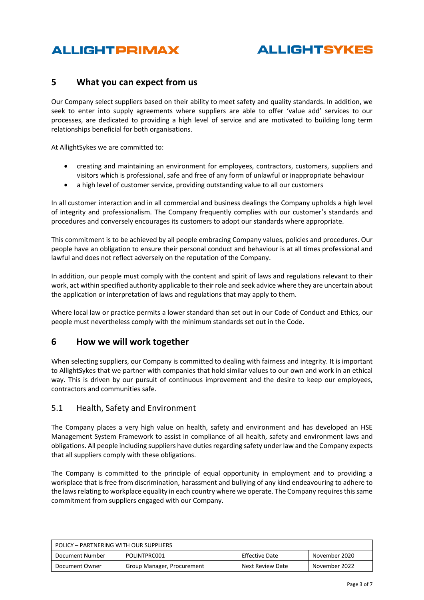# **ALLIGHTSYKES**

### **5 What you can expect from us**

Our Company select suppliers based on their ability to meet safety and quality standards. In addition, we seek to enter into supply agreements where suppliers are able to offer 'value add' services to our processes, are dedicated to providing a high level of service and are motivated to building long term relationships beneficial for both organisations.

At AllightSykes we are committed to:

- creating and maintaining an environment for employees, contractors, customers, suppliers and visitors which is professional, safe and free of any form of unlawful or inappropriate behaviour
- a high level of customer service, providing outstanding value to all our customers

In all customer interaction and in all commercial and business dealings the Company upholds a high level of integrity and professionalism. The Company frequently complies with our customer's standards and procedures and conversely encourages its customers to adopt our standards where appropriate.

This commitment is to be achieved by all people embracing Company values, policies and procedures. Our people have an obligation to ensure their personal conduct and behaviour is at all times professional and lawful and does not reflect adversely on the reputation of the Company.

In addition, our people must comply with the content and spirit of laws and regulations relevant to their work, act within specified authority applicable to their role and seek advice where they are uncertain about the application or interpretation of laws and regulations that may apply to them.

Where local law or practice permits a lower standard than set out in our Code of Conduct and Ethics, our people must nevertheless comply with the minimum standards set out in the Code.

### **6 How we will work together**

When selecting suppliers, our Company is committed to dealing with fairness and integrity. It is important to AllightSykes that we partner with companies that hold similar values to our own and work in an ethical way. This is driven by our pursuit of continuous improvement and the desire to keep our employees, contractors and communities safe.

#### 5.1 Health, Safety and Environment

The Company places a very high value on health, safety and environment and has developed an HSE Management System Framework to assist in compliance of all health, safety and environment laws and obligations. All people including suppliers have duties regarding safety under law and the Company expects that all suppliers comply with these obligations.

The Company is committed to the principle of equal opportunity in employment and to providing a workplace that is free from discrimination, harassment and bullying of any kind endeavouring to adhere to the laws relating to workplace equality in each country where we operate. The Company requires this same commitment from suppliers engaged with our Company.

| POLICY – PARTNERING WITH OUR SUPPLIERS                             |                            |                  |               |  |
|--------------------------------------------------------------------|----------------------------|------------------|---------------|--|
| Effective Date<br>POLINTPRC001<br>November 2020<br>Document Number |                            |                  |               |  |
| Document Owner                                                     | Group Manager, Procurement | Next Review Date | November 2022 |  |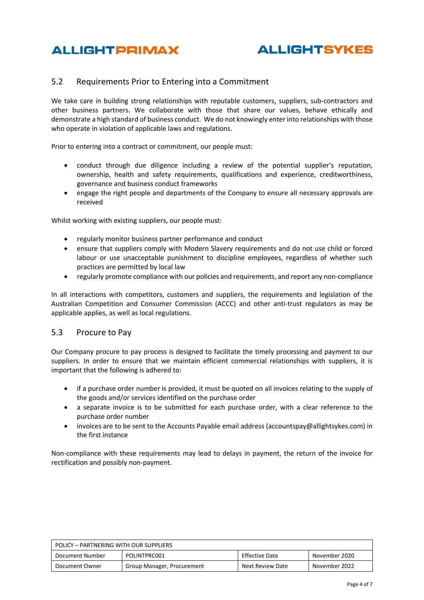

### 5.2 Requirements Prior to Entering into a Commitment

We take care in building strong relationships with reputable customers, suppliers, sub-contractors and other business partners. We collaborate with those that share our values, behave ethically and demonstrate a high standard of business conduct. We do not knowingly enter into relationships with those who operate in violation of applicable laws and regulations.

Prior to entering into a contract or commitment, our people must:

- conduct through due diligence including a review of the potential supplier's reputation, ownership, health and safety requirements, qualifications and experience, creditworthiness, governance and business conduct frameworks
- engage the right people and departments of the Company to ensure all necessary approvals are received

Whilst working with existing suppliers, our people must:

- regularly monitor business partner performance and conduct
- ensure that suppliers comply with Modern Slavery requirements and do not use child or forced labour or use unacceptable punishment to discipline employees, regardless of whether such practices are permitted by local law
- regularly promote compliance with our policies and requirements, and report any non-compliance

In all interactions with competitors, customers and suppliers, the requirements and legislation of the Australian Competition and Consumer Commission (ACCC) and other anti-trust regulators as may be applicable applies, as well as local regulations.

#### 5.3 Procure to Pay

Our Company procure to pay process is designed to facilitate the timely processing and payment to our suppliers. In order to ensure that we maintain efficient commercial relationships with suppliers, it is important that the following is adhered to:

- if a purchase order number is provided, it must be quoted on all invoices relating to the supply of the goods and/or services identified on the purchase order
- a separate invoice is to be submitted for each purchase order, with a clear reference to the purchase order number
- invoices are to be sent to the Accounts Payable email address (accountspay@allightsykes.com) in the first instance

Non-compliance with these requirements may lead to delays in payment, the return of the invoice for rectification and possibly non-payment.

| POLICY - PARTNERING WITH OUR SUPPLIERS                             |                            |                  |               |  |
|--------------------------------------------------------------------|----------------------------|------------------|---------------|--|
| Effective Date<br>POLINTPRC001<br>Document Number<br>November 2020 |                            |                  |               |  |
| Document Owner                                                     | Group Manager, Procurement | Next Review Date | November 2022 |  |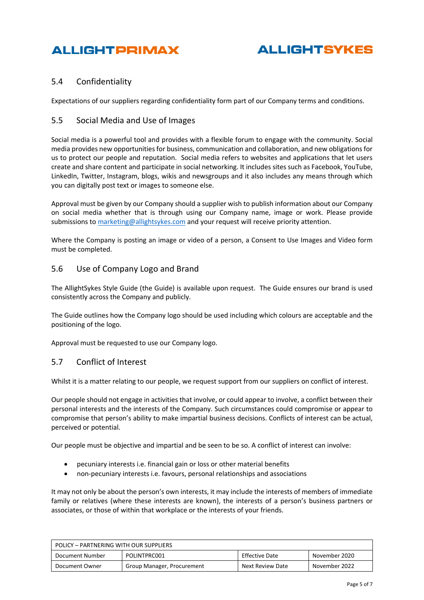

### 5.4 Confidentiality

Expectations of our suppliers regarding confidentiality form part of our Company terms and conditions.

#### 5.5 Social Media and Use of Images

Social media is a powerful tool and provides with a flexible forum to engage with the community. Social media provides new opportunities for business, communication and collaboration, and new obligations for us to protect our people and reputation. Social media refers to websites and applications that let users create and share content and participate in social networking. It includes sites such as Facebook, YouTube, LinkedIn, Twitter, Instagram, blogs, wikis and newsgroups and it also includes any means through which you can digitally post text or images to someone else.

Approval must be given by our Company should a supplier wish to publish information about our Company on social media whether that is through using our Company name, image or work. Please provide submissions t[o marketing@allightsykes.com](mailto:marketing@allightsykes.com) and your request will receive priority attention.

Where the Company is posting an image or video of a person, a Consent to Use Images and Video form must be completed.

#### 5.6 Use of Company Logo and Brand

The AllightSykes Style Guide (the Guide) is available upon request. The Guide ensures our brand is used consistently across the Company and publicly.

The Guide outlines how the Company logo should be used including which colours are acceptable and the positioning of the logo.

Approval must be requested to use our Company logo.

#### 5.7 Conflict of Interest

Whilst it is a matter relating to our people, we request support from our suppliers on conflict of interest.

Our people should not engage in activities that involve, or could appear to involve, a conflict between their personal interests and the interests of the Company. Such circumstances could compromise or appear to compromise that person's ability to make impartial business decisions. Conflicts of interest can be actual, perceived or potential.

Our people must be objective and impartial and be seen to be so. A conflict of interest can involve:

- pecuniary interests i.e. financial gain or loss or other material benefits
- non-pecuniary interests i.e. favours, personal relationships and associations

It may not only be about the person's own interests, it may include the interests of members of immediate family or relatives (where these interests are known), the interests of a person's business partners or associates, or those of within that workplace or the interests of your friends.

| POLICY - PARTNERING WITH OUR SUPPLIERS                                            |  |  |  |  |
|-----------------------------------------------------------------------------------|--|--|--|--|
| Effective Date<br>POLINTPRC001<br>Document Number<br>November 2020                |  |  |  |  |
| Next Review Date<br>November 2022<br>Group Manager, Procurement<br>Document Owner |  |  |  |  |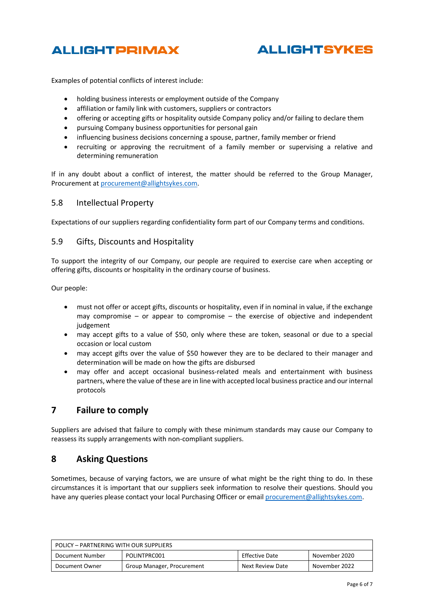

# **ALLIGHTSYKES**

Examples of potential conflicts of interest include:

- holding business interests or employment outside of the Company
- affiliation or family link with customers, suppliers or contractors
- offering or accepting gifts or hospitality outside Company policy and/or failing to declare them
- pursuing Company business opportunities for personal gain
- influencing business decisions concerning a spouse, partner, family member or friend
- recruiting or approving the recruitment of a family member or supervising a relative and determining remuneration

If in any doubt about a conflict of interest, the matter should be referred to the Group Manager, Procurement a[t procurement@allightsykes.com.](mailto:procurement@allightsykes.com)

#### 5.8 Intellectual Property

Expectations of our suppliers regarding confidentiality form part of our Company terms and conditions.

#### 5.9 Gifts, Discounts and Hospitality

To support the integrity of our Company, our people are required to exercise care when accepting or offering gifts, discounts or hospitality in the ordinary course of business.

Our people:

- must not offer or accept gifts, discounts or hospitality, even if in nominal in value, if the exchange may compromise – or appear to compromise – the exercise of objective and independent judgement
- may accept gifts to a value of \$50, only where these are token, seasonal or due to a special occasion or local custom
- may accept gifts over the value of \$50 however they are to be declared to their manager and determination will be made on how the gifts are disbursed
- may offer and accept occasional business-related meals and entertainment with business partners, where the value of these are in line with accepted local business practice and our internal protocols

### **7 Failure to comply**

Suppliers are advised that failure to comply with these minimum standards may cause our Company to reassess its supply arrangements with non-compliant suppliers.

#### **8 Asking Questions**

Sometimes, because of varying factors, we are unsure of what might be the right thing to do. In these circumstances it is important that our suppliers seek information to resolve their questions. Should you have any queries please contact your local Purchasing Officer or emai[l procurement@allightsykes.com.](mailto:procurement@allightsykes.com)

| POLICY - PARTNERING WITH OUR SUPPLIERS                             |                            |                  |               |  |
|--------------------------------------------------------------------|----------------------------|------------------|---------------|--|
| Effective Date<br>POLINTPRC001<br>Document Number<br>November 2020 |                            |                  |               |  |
| Document Owner                                                     | Group Manager, Procurement | Next Review Date | November 2022 |  |